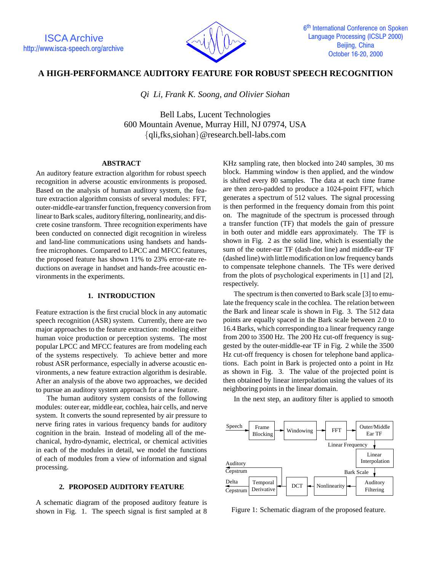

# **A HIGH-PERFORMANCE AUDITORY FEATURE FOR ROBUST SPEECH RECOGNITION**

*Qi Li, Frank K. Soong, and Olivier Siohan*

Bell Labs, Lucent Technologies 600 Mountain Avenue, Murray Hill, NJ 07974, USA {qli,fks,siohan}@research.bell-labs.com

## **ABSTRACT**

An auditory feature extraction algorithm for robust speech recognition in adverse acoustic environments is proposed. Based on the analysis of human auditory system, the feature extraction algorithm consists of several modules: FFT, outer-middle-ear transfer function,frequency conversion from linear to Bark scales, auditory filtering, nonlinearity, and discrete cosine transform. Three recognition experiments have been conducted on connected digit recognition in wireless and land-line communications using handsets and handsfree microphones. Compared to LPCC and MFCC features, the proposed feature has shown 11% to 23% error-rate reductions on average in handset and hands-free acoustic environments in the experiments.

# **1. INTRODUCTION**

Feature extraction is the first crucial block in any automatic speech recognition (ASR) system. Currently, there are two major approaches to the feature extraction: modeling either human voice production or perception systems. The most popular LPCC and MFCC features are from modeling each of the systems respectively. To achieve better and more robust ASR performance, especially in adverse acoustic environments, a new feature extraction algorithm is desirable. After an analysis of the above two approaches, we decided to pursue an auditory system approach for a new feature.

The human auditory system consists of the following modules: outer ear, middle ear, cochlea, hair cells, and nerve system. It converts the sound represented by air pressure to nerve firing rates in various frequency bands for auditory cognition in the brain. Instead of modeling all of the mechanical, hydro-dynamic, electrical, or chemical activities in each of the modules in detail, we model the functions of each of modules from a view of information and signal processing.

# **2. PROPOSED AUDITORY FEATURE**

A schematic diagram of the proposed auditory feature is shown in Fig. 1. The speech signal is first sampled at 8

KHz sampling rate, then blocked into 240 samples, 30 ms block. Hamming window is then applied, and the window is shifted every 80 samples. The data at each time frame are then zero-padded to produce a 1024-point FFT, which generates a spectrum of 512 values. The signal processing is then performed in the frequency domain from this point on. The magnitude of the spectrum is processed through a transfer function (TF) that models the gain of pressure in both outer and middle ears approximately. The TF is shown in Fig. 2 as the solid line, which is essentially the sum of the outer-ear TF (dash-dot line) and middle-ear TF (dashed line) with littlemodification on low frequency bands to compensate telephone channels. The TFs were derived from the plots of psychological experiments in [1] and [2], respectively.

The spectrum is then converted to Bark scale [3] to emulate the frequency scale in the cochlea. The relation between the Bark and linear scale is shown in Fig. 3. The 512 data points are equally spaced in the Bark scale between 2.0 to 16.4 Barks, which corresponding to a linear frequency range from 200 to 3500 Hz. The 200 Hz cut-off frequency is suggested by the outer-middle-ear TF in Fig. 2 while the 3500 Hz cut-off frequency is chosen for telephone band applications. Each point in Bark is projected onto a point in Hz as shown in Fig. 3. The value of the projected point is then obtained by linear interpolation using the values of its neighboring points in the linear domain.

In the next step, an auditory filter is applied to smooth



Figure 1: Schematic diagram of the proposed feature.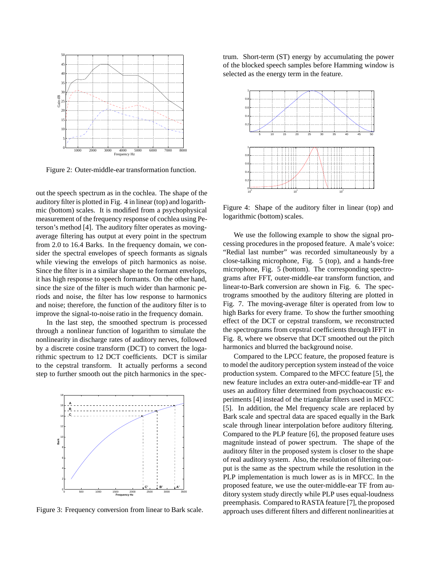

Figure 2: Outer-middle-ear transformation function.

out the speech spectrum as in the cochlea. The shape of the auditory filter is plotted in Fig. 4 in linear (top) and logarithmic (bottom) scales. It is modified from a psychophysical measurement of the frequency response of cochlea using Peterson's method [4]. The auditory filter operates as movingaverage filtering has output at every point in the spectrum from 2.0 to 16.4 Barks. In the frequency domain, we consider the spectral envelopes of speech formants as signals while viewing the envelops of pitch harmonics as noise. Since the filter is in a similar shape to the formant envelops, it has high response to speech formants. On the other hand, since the size of the filter is much wider than harmonic periods and noise, the filter has low response to harmonics and noise; therefore, the function of the auditory filter is to improve the signal-to-noise ratio in the frequency domain.

In the last step, the smoothed spectrum is processed through a nonlinear function of logarithm to simulate the nonlinearity in discharge rates of auditory nerves, followed by a discrete cosine transform (DCT) to convert the logarithmic spectrum to 12 DCT coefficients. DCT is similar to the cepstral transform. It actually performs a second step to further smooth out the pitch harmonics in the spec-



Figure 3: Frequency conversion from linear to Bark scale.

trum. Short-term (ST) energy by accumulating the power of the blocked speech samples before Hamming window is selected as the energy term in the feature.



Figure 4: Shape of the auditory filter in linear (top) and logarithmic (bottom) scales.

We use the following example to show the signal processing procedures in the proposed feature. A male's voice: "Redial last number" was recorded simultaneously by a close-talking microphone, Fig. 5 (top), and a hands-free microphone, Fig. 5 (bottom). The corresponding spectrograms after FFT, outer-middle-ear transform function, and linear-to-Bark conversion are shown in Fig. 6. The spectrograms smoothed by the auditory filtering are plotted in Fig. 7. The moving-average filter is operated from low to high Barks for every frame. To show the further smoothing effect of the DCT or cepstral transform, we reconstructed the spectrograms from cepstral coefficients through IFFT in Fig. 8, where we observe that DCT smoothed out the pitch harmonics and blurred the background noise.

Compared to the LPCC feature, the proposed feature is to model the auditory perception system instead of the voice production system. Compared to the MFCC feature [5], the new feature includes an extra outer-and-middle-ear TF and uses an auditory filter determined from psychoacoustic experiments [4] instead of the triangular filters used in MFCC [5]. In addition, the Mel frequency scale are replaced by Bark scale and spectral data are spaced equally in the Bark scale through linear interpolation before auditory filtering. Compared to the PLP feature [6], the proposed feature uses magnitude instead of power spectrum. The shape of the auditory filter in the proposed system is closer to the shape of real auditory system. Also, the resolution of filtering output is the same as the spectrum while the resolution in the PLP implementation is much lower as is in MFCC. In the proposed feature, we use the outer-middle-ear TF from auditory system study directly while PLP uses equal-loudness preemphasis. Compared to RASTA feature [7], the proposed approach uses different filters and different nonlinearities at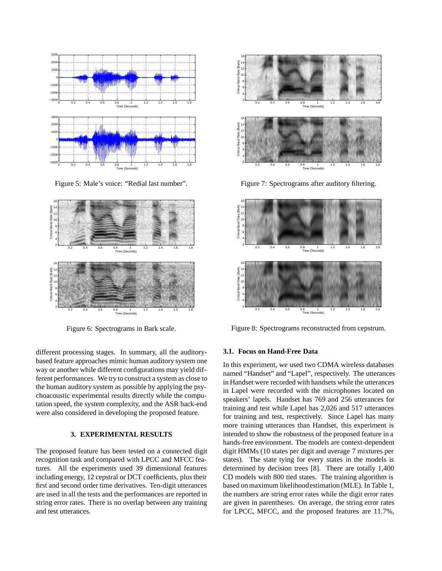

Figure 5: Male's voice: "Redial last number".



Figure 6: Spectrograms in Bark scale.

different processing stages. In summary, all the auditorybased feature approaches mimic human auditory system one way or another while different configurations may yield different performances. We try to construct a system as close to the human auditory system as possible by applying the psychoacoustic experimental results directly while the computation speed, the system complexity, and the ASR back-end were also considered in developing the proposed feature.

## **3. EXPERIMENTAL RESULTS**

The proposed feature has been tested on a connected digit recognition task and compared with LPCC and MFCC features. All the experiments used 39 dimensional features including energy, 12 cepstral or DCT coefficients, plus their first and second order time derivatives. Ten-digit utterances are used in all the tests and the performances are reported in string error rates. There is no overlap between any training and test utterances.



Figure 7: Spectrograms after auditory filtering.



Figure 8: Spectrograms reconstructed from cepstrum.

#### **3.1. Focus on Hand-Free Data**

In this experiment, we used two CDMA wireless databases named "Handset" and "Lapel", respectively. The utterances in Handset were recorded with handsets while the utterances in Lapel were recorded with the microphones located on speakers' lapels. Handset has 769 and 256 utterances for training and test while Lapel has 2,026 and 517 utterances for training and test, respectively. Since Lapel has many more training utterances than Handset, this experiment is intended to show the robustness of the proposed feature in a hands-free environment. The models are context-dependent digit HMMs (10 states per digit and average 7 mixtures per states). The state tying for every states in the models is determined by decision trees [8]. There are totally 1,400 CD models with 800 tied states. The training algorithm is based on maximum likelihoodestimation (MLE). In Table 1, the numbers are string error rates while the digit error rates are given in parentheses. On average, the string error rates for LPCC, MFCC, and the proposed features are 11.7%,